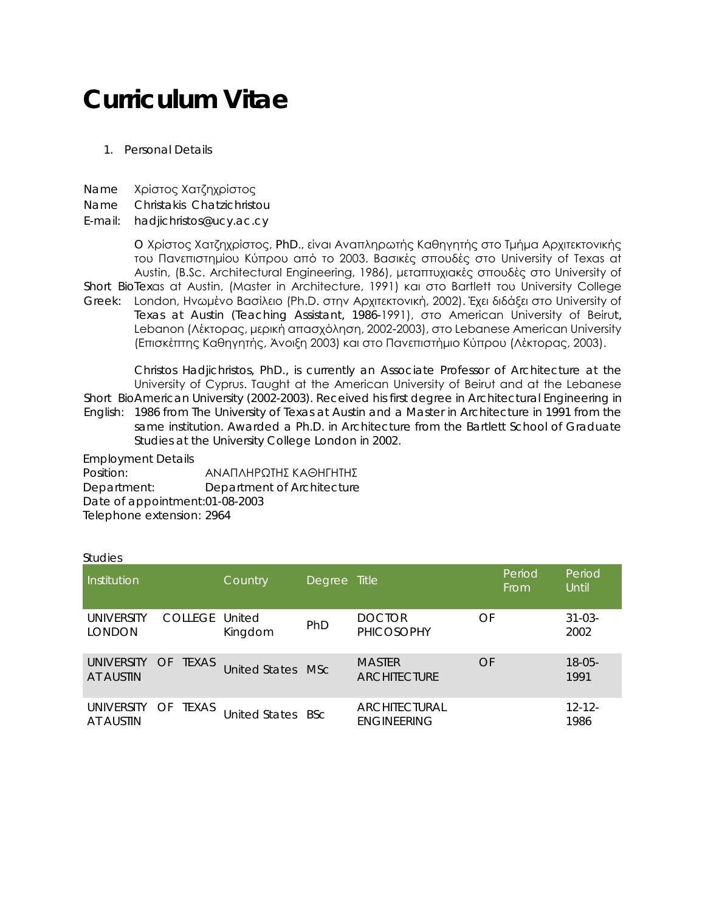# **Curriculum Vitae**

## 1. Personal Details

- Name Χρίστος Χατζηχρίστος
- Name Christakis Chatzichristou

## E-mail: hadjichristos@ucy.ac.cy

Short BioTexas at Austin, (Master in Architecture, 1991) και στο Bartlett του University College Greek: London, Ηνωμένο Βασίλειο (Ph.D. στην Αρχιτεκτονική, 2002). Έχει διδάξει στο University of O Χρίστος Χατζηχρίστος, PhD., είναι Αναπληρωτής Καθηγητής στο Τμήμα Αρχιτεκτονικής του Πανεπιστημίου Κύπρου από το 2003. Βασικές σπουδές στο University of Texas at Austin, (B.Sc. Architectural Engineering, 1986), μεταπτυχιακές σπουδές στο University of Texas at Austin (Teaching Assistant, 1986-1991), στο American University of Beirut, Lebanon (Λέκτορας, μερική απασχόληση, 2002-2003), στο Lebanese American University (Επισκέπτης Καθηγητής, Άνοιξη 2003) και στο Πανεπιστήμιο Κύπρου (Λέκτορας, 2003).

Short Bio American University (2002-2003). Received his first degree in Architectural Engineering in English: 1986 from The University of Texas at Austin and a Master in Architecture in 1991 from the Christos Hadjichristos, PhD., is currently an Associate Professor of Architecture at the University of Cyprus. Τaught at the American University of Beirut and at the Lebanese same institution. Awarded a Ph.D. in Architecture from the Bartlett School of Graduate Studies at the University College London in 2002.

Employment Details

Position: ΑΝΑΠΛΗΡΩΤΗΣ ΚΑΘΗΓΗΤΗΣ Department: Department of Architecture Date of appointment:01-08-2003 Telephone extension: 2964

#### **Studies**

| Institution                    |                       | Country           | Degree Title |                                      | Period<br>From | Period<br>Until     |
|--------------------------------|-----------------------|-------------------|--------------|--------------------------------------|----------------|---------------------|
| UNIVERSITY<br><b>LONDON</b>    | <b>COLLEGE United</b> | Kingdom           | <b>PhD</b>   | <b>DOCTOR</b><br><b>PHICOSOPHY</b>   | OF             | $31 - 03 -$<br>2002 |
| <b>UNIVERSITY</b><br>AT AUSTIN | OF TEXAS              | United States MSc |              | <b>MASTER</b><br><b>ARCHITECTURE</b> | OF             | $18 - 05 -$<br>1991 |
| <b>UNIVERSITY</b><br>AT AUSTIN | TEXAS<br>OF           | United States BSc |              | ARCHITECTURAL<br><b>ENGINEERING</b>  |                | $12 - 12 -$<br>1986 |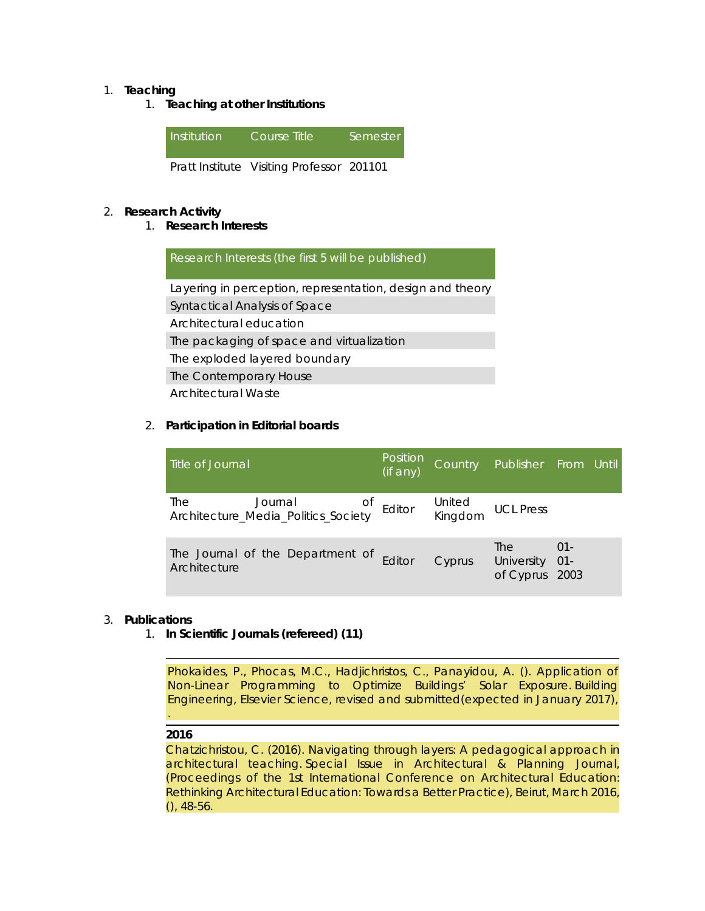## 1. **Teaching**

1. **Teaching at other Institutions**



## 2. **Research Activity**

1. **Research Interests**

Research Interests (the first 5 will be published) Layering in perception, representation, design and theory Syntactical Analysis of Space Architectural education The packaging of space and virtualization The exploded layered boundary The Contemporary House Architectural Waste

## 2. **Participation in Editorial boards**

| Title of Journal                                                    | Position<br>(if any) |        | Country Publisher From Until       |                |  |
|---------------------------------------------------------------------|----------------------|--------|------------------------------------|----------------|--|
| The Journal of Editor<br>Architecture_Media_Politics_Society Editor |                      |        | United<br>Kingdom UCL Press        |                |  |
| The Journal of the Department of<br>Architecture                    | Editor               | Cyprus | The<br>University 01-<br>of Cyprus | $01 -$<br>2003 |  |

#### 3. **Publications**

1. **In Scientific Journals (refereed) (11)**

Phokaides, P., Phocas, M.C., Hadjichristos, C., Panayidou, A. (). Application of Non-Linear Programming to Optimize Buildings' Solar Exposure. *Building Engineering, Elsevier Science*, revised and submitted(expected in January 2017), .

#### **2016**

Chatzichristou, C. (2016). Navigating through layers: A pedagogical approach in architectural teaching. *Special Issue in Architectural & Planning Journal, (Proceedings of the 1st International Conference on Architectural Education: Rethinking Architectural Education: Towards a Better Practice), Beirut, March 2016*, (), 48-56.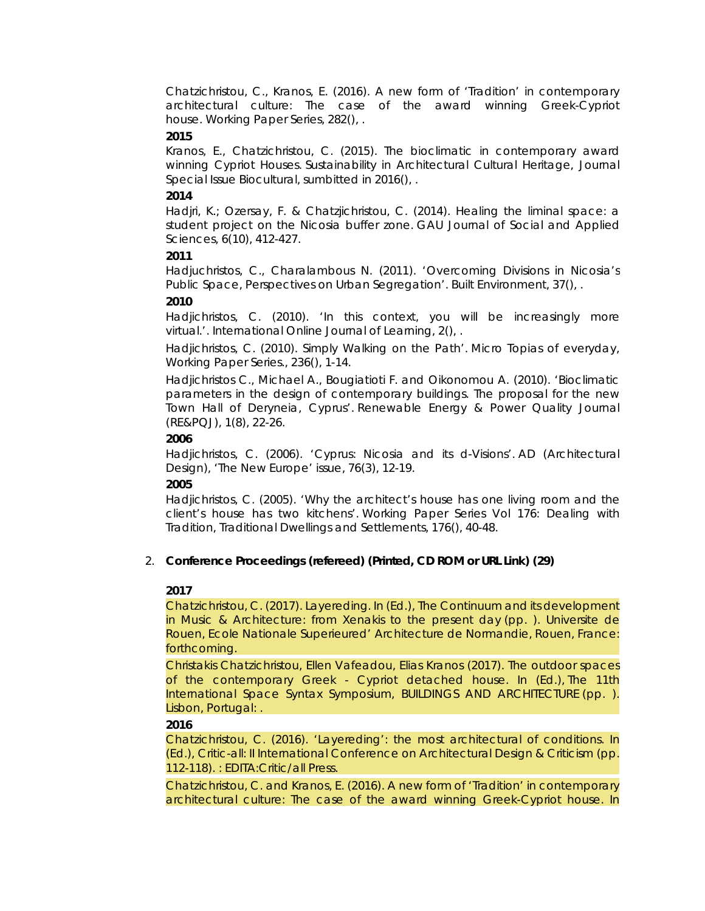Chatzichristou, C., Kranos, E. (2016). A new form of 'Tradition' in contemporary architectural culture: The case of the award winning Greek-Cypriot house. *Working Paper Series*, 282(), .

#### **2015**

Kranos, E., Chatzichristou, C. (2015). The bioclimatic in contemporary award winning Cypriot Houses. *Sustainability in Architectural Cultural Heritage, Journal Special Issue Biocultural*, sumbitted in 2016(), .

#### **2014**

Hadjri, K.; Ozersay, F. & Chatzjichristou, C. (2014). Healing the liminal space: a student project on the Nicosia buffer zone. *GAU Journal of Social and Applied Sciences*, 6(10), 412-427.

#### **2011**

Hadjuchristos, C., Charalambous N. (2011). 'Overcoming Divisions in Nicosia's Public Space, Perspectives on Urban Segregation'. *Built Environment*, 37(), .

#### **2010**

Hadjichristos, C. (2010). 'In this context, you will be increasingly more virtual.'. *International Online Journal of Learning*, 2(), .

Hadjichristos, C. (2010). Simply Walking on the Path'. *Micro Topias of everyday, Working Paper Series.*, 236(), 1-14.

Hadjichristos C., Michael A., Bougiatioti F. and Oikonomou A. (2010). 'Bioclimatic parameters in the design of contemporary buildings. The proposal for the new Town Hall of Deryneia, Cyprus'. *Renewable Energy & Power Quality Journal (RE&PQJ)*, 1(8), 22-26.

#### **2006**

Hadjichristos, C. (2006). 'Cyprus: Nicosia and its d-Visions'. *AD (Architectural Design), 'The New Europe' issue*, 76(3), 12-19.

#### **2005**

Hadjichristos, C. (2005). 'Why the architect's house has one living room and the client's house has two kitchens'. *Working Paper Series Vol 176: Dealing with Tradition, Traditional Dwellings and Settlements*, 176(), 40-48.

## 2. **Conference Proceedings (refereed) (Printed, CD ROM or URL Link) (29)**

#### **2017**

Chatzichristou, C. (2017). Layereding. In (Ed.), *The Continuum and its development in Music & Architecture: from Xenakis to the present day* (pp. ). Universite de Rouen, Ecole Nationale Superieured' Architecture de Normandie, Rouen, France: forthcoming.

Christakis Chatzichristou, Ellen Vafeadou, Elias Kranos (2017). The outdoor spaces of the contemporary Greek - Cypriot detached house. In (Ed.), *The 11th International Space Syntax Symposium, BUILDINGS AND ARCHITECTURE* (pp. ). Lisbon, Portugal: .

#### **2016**

Chatzichristou, C. (2016). 'Layereding': the most architectural of conditions. In (Ed.), *Critic-all: II International Conference on Architectural Design & Criticism* (pp. 112-118). : EDITA:Critic/all Press.

Chatzichristou, C. and Kranos, E. (2016). A new form of 'Tradition' in contemporary architectural culture: The case of the award winning Greek-Cypriot house. In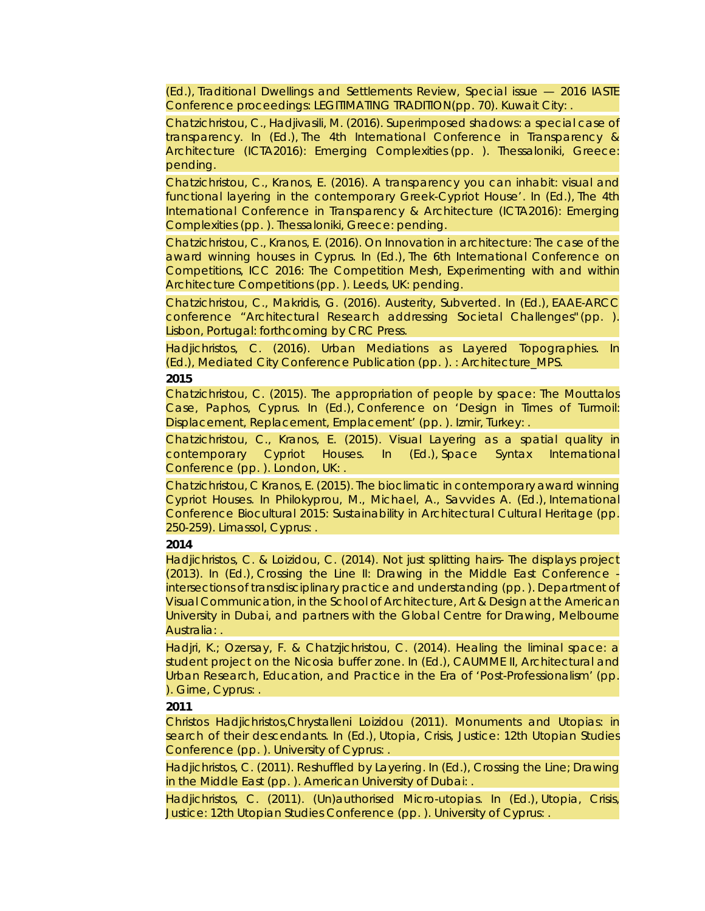(Ed.), *Traditional Dwellings and Settlements Review, Special issue — 2016 IASTE Conference proceedings: LEGITIMATING TRADITION*(pp. 70). Kuwait City: .

Chatzichristou, C., Hadjivasili, M. (2016). Superimposed shadows: a special case of transparency. In (Ed.), *The 4th International Conference in Transparency & Architecture (ICTA2016): Emerging Complexities* (pp. ). Thessaloniki, Greece: pending.

Chatzichristou, C., Kranos, E. (2016). A transparency you can inhabit: visual and functional layering in the contemporary Greek-Cypriot House'. In (Ed.), *The 4th International Conference in Transparency & Architecture (ICTA2016): Emerging Complexities* (pp. ). Thessaloniki, Greece: pending.

Chatzichristou, C., Kranos, E. (2016). On Innovation in architecture: The case of the award winning houses in Cyprus. In (Ed.), *The 6th International Conference on Competitions, ICC 2016: The Competition Mesh, Experimenting with and within Architecture Competitions* (pp. ). Leeds, UK: pending.

Chatzichristou, C., Makridis, G. (2016). Austerity, Subverted. In (Ed.), *EAAE-ARCC conference "Architectural Research addressing Societal Challenges"* (pp. ). Lisbon, Portugal: forthcoming by CRC Press.

Hadjichristos, C. (2016). Urban Mediations as Layered Topographies. In (Ed.), *Mediated City Conference Publication* (pp. ). : Architecture\_MPS. **2015**

Chatzichristou, C. (2015). The appropriation of people by space: The Mouttalos Case, Paphos, Cyprus. In (Ed.), *Conference on 'Design in Times of Turmoil: Displacement, Replacement, Emplacement'* (pp. ). Izmir, Turkey: .

Chatzichristou, C., Kranos, E. (2015). Visual Layering as a spatial quality in contemporary Cypriot Houses. In (Ed.), *Space Syntax International Conference* (pp. ). London, UK: .

Chatzichristou, C Kranos, E. (2015). The bioclimatic in contemporary award winning Cypriot Houses. In Philokyprou, M., Michael, A., Savvides A. (Ed.), *International Conference Biocultural 2015: Sustainability in Architectural Cultural Heritage* (pp. 250-259). Limassol, Cyprus: .

#### **2014**

Hadjichristos, C. & Loizidou, C. (2014). Not just splitting hairs- The displays project (2013). In (Ed.), *Crossing the Line II: Drawing in the Middle East Conference intersections of transdisciplinary practice and understanding* (pp. ). Department of Visual Communication, in the School of Architecture, Art & Design at the American University in Dubai, and partners with the Global Centre for Drawing, Melbourne Australia: .

Hadjri, K.; Ozersay, F. & Chatzjichristou, C. (2014). Healing the liminal space: a student project on the Nicosia buffer zone. In (Ed.), *CAUMME II, Architectural and Urban Research, Education, and Practice in the Era of 'Post-Professionalism'* (pp. ). Girne, Cyprus: .

#### **2011**

Christos Hadjichristos,Chrystalleni Loizidou (2011). Monuments and Utopias: in search of their descendants. In (Ed.), *Utopia, Crisis, Justice: 12th Utopian Studies Conference* (pp. ). University of Cyprus: .

Hadjichristos, C. (2011). Reshuffled by Layering. In (Ed.), *Crossing the Line; Drawing in the Middle East* (pp. ). American University of Dubai: .

Hadjichristos, C. (2011). (Un)authorised Micro-utopias. In (Ed.), *Utopia, Crisis, Justice: 12th Utopian Studies Conference* (pp. ). University of Cyprus: .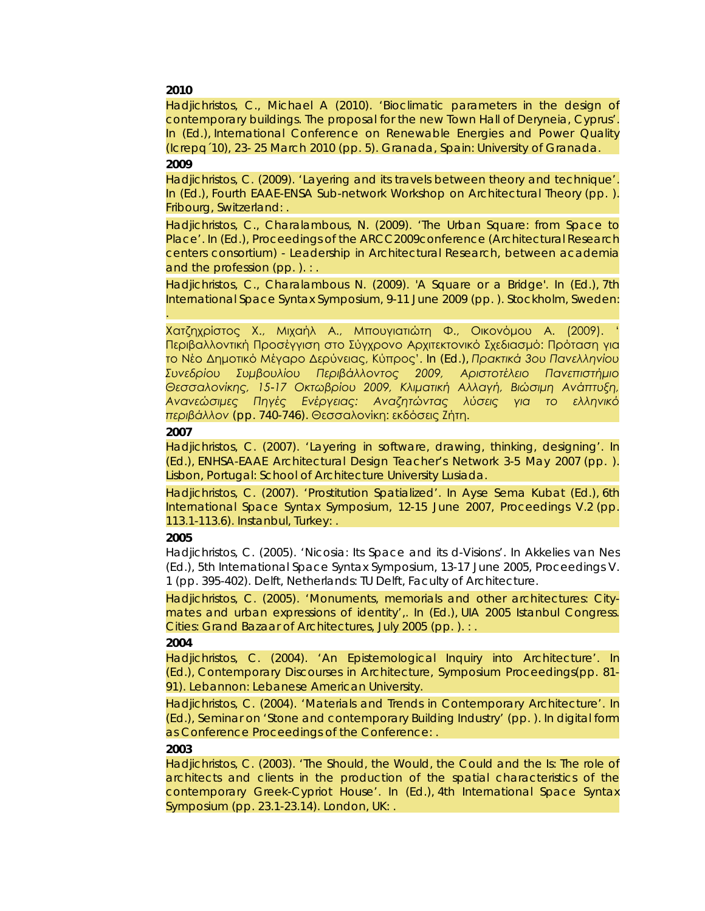#### **2010**

Hadjichristos, C., Michael A (2010). 'Bioclimatic parameters in the design of contemporary buildings. The proposal for the new Town Hall of Deryneia, Cyprus'. In (Ed.), *International Conference on Renewable Energies and Power Quality (Icrepq´10), 23- 25 March 2010* (pp. 5). Granada, Spain: University of Granada. **2009**

Hadjichristos, C. (2009). 'Layering and its travels between theory and technique'. In (Ed.), *Fourth EAAE-ENSA Sub-network Workshop on Architectural Theory* (pp. ). Fribourg, Switzerland: .

Hadjichristos, C., Charalambous, N. (2009). 'The Urban Square: from Space to Place'. In (Ed.), *Proceedings of the ARCC2009conference (Architectural Research centers consortium) - Leadership in Architectural Research, between academia and the profession* (pp. ). : .

Hadjichristos, C., Charalambous N. (2009). 'A Square or a Bridge'. In (Ed.), *7th International Space Syntax Symposium, 9-11 June 2009* (pp. ). Stockholm, Sweden: .

Χατζηχρίστος Χ., Μιχαήλ Α., Μπουγιατιώτη Φ., Οικονόμου Α. (2009). ' Περιβαλλοντική Προσέγγιση στο Σύγχρονο Αρχιτεκτονικό Σχεδιασμό: Πρόταση για το Νέο Δημοτικό Μέγαρο Δερύνειας, Κύπρος'. In (Ed.), *Πρακτικά 3ου Πανελληνίου Συνεδρίου Συμβουλίου Περιβάλλοντος 2009, Αριστοτέλειο Πανεπιστήμιο Θεσσαλονίκης, 15-17 Οκτωβρίου 2009, Κλιματική Αλλαγή, Βιώσιμη Ανάπτυξη, Ανανεώσιμες Πηγές Ενέργειας: Αναζητώντας λύσεις για το ελληνικό περιβάλλον* (pp. 740-746). Θεσσαλονίκη: εκδόσεις Ζήτη.

#### **2007**

Hadjichristos, C. (2007). 'Layering in software, drawing, thinking, designing'. In (Ed.), *ENHSA-EAAE Architectural Design Teacher's Network 3-5 May 2007* (pp. ). Lisbon, Portugal: School of Architecture University Lusiada.

Hadjichristos, C. (2007). 'Prostitution Spatialized'. In Ayse Sema Kubat (Ed.), *6th International Space Syntax Symposium, 12-15 June 2007, Proceedings V.2* (pp. 113.1-113.6). Instanbul, Turkey: .

#### **2005**

Hadjichristos, C. (2005). 'Nicosia: Its Space and its d-Visions'. In Akkelies van Nes (Ed.), *5th International Space Syntax Symposium, 13-17 June 2005, Proceedings V. 1* (pp. 395-402). Delft, Netherlands: TU Delft, Faculty of Architecture.

Hadjichristos, C. (2005). 'Monuments, memorials and other architectures: Citymates and urban expressions of identity',. In (Ed.), *UIA 2005 Istanbul Congress. Cities: Grand Bazaar of Architectures, July 2005* (pp. ). : .

#### **2004**

Hadjichristos, C. (2004). 'An Epistemological Inquiry into Architecture'. In (Ed.), *Contemporary Discourses in Architecture, Symposium Proceedings*(pp. 81- 91). Lebannon: Lebanese American University.

Hadjichristos, C. (2004). 'Materials and Trends in Contemporary Architecture'. In (Ed.), *Seminar on 'Stone and contemporary Building Industry'* (pp. ). In digital form as Conference Proceedings of the Conference: .

#### **2003**

Hadjichristos, C. (2003). 'The Should, the Would, the Could and the Is: The role of architects and clients in the production of the spatial characteristics of the contemporary Greek-Cypriot House'. In (Ed.), *4th International Space Syntax Symposium* (pp. 23.1-23.14). London, UK: .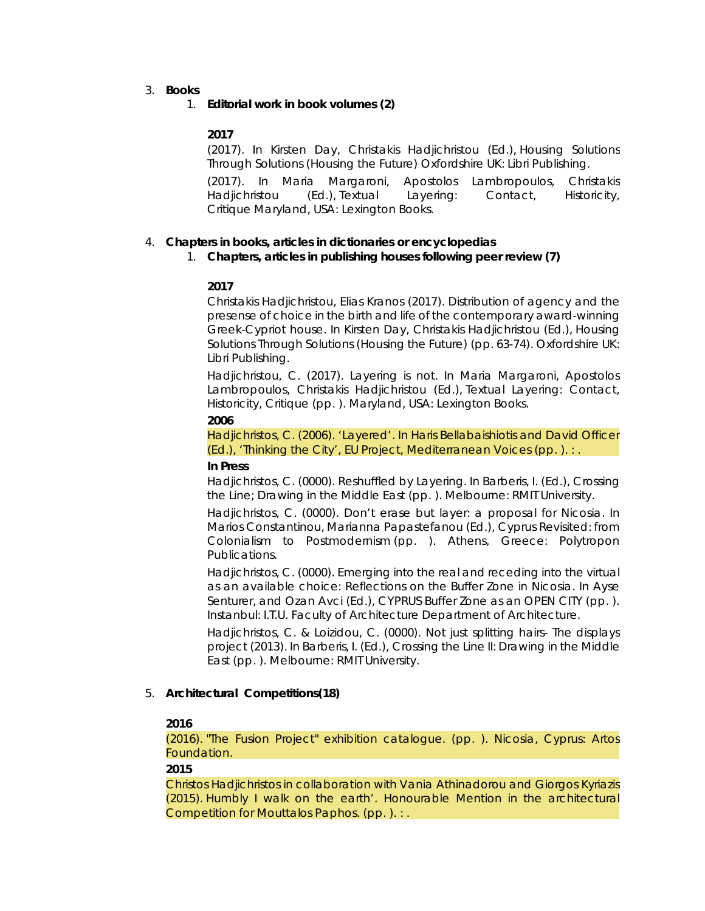3. **Books**

### 1. **Editorial work in book volumes (2)**

#### **2017**

(2017). In Kirsten Day, Christakis Hadjichristou (Ed.), *Housing Solutions Through Solutions (Housing the Future)* Oxfordshire UK: Libri Publishing.

(2017). In Maria Margaroni, Apostolos Lambropoulos, Christakis Hadjichristou (Ed.), *Textual Layering: Contact, Historicity, Critique* Maryland, USA: Lexington Books.

#### 4. **Chapters in books, articles in dictionaries or encyclopedias**

#### 1. **Chapters, articles in publishing houses following peer review (7)**

#### **2017**

Christakis Hadjichristou, Elias Kranos (2017). Distribution of agency and the presense of choice in the birth and life of the contemporary award-winning Greek-Cypriot house. In Kirsten Day, Christakis Hadjichristou (Ed.), *Housing Solutions Through Solutions (Housing the Future)* (pp. 63-74). Oxfordshire UK: Libri Publishing.

Hadjichristou, C. (2017). Layering is not. In Maria Margaroni, Apostolos Lambropoulos, Christakis Hadjichristou (Ed.), *Textual Layering: Contact, Historicity, Critique* (pp. ). Maryland, USA: Lexington Books.

#### **2006**

Hadjichristos, C. (2006). 'Layered'. In Haris Bellabaishiotis and David Officer (Ed.), *'Thinking the City', EU Project, Mediterranean Voices* (pp. ). : .

#### **In Press**

Hadjichristos, C. (0000). Reshuffled by Layering. In Barberis, I. (Ed.), *Crossing the Line; Drawing in the Middle East* (pp. ). Melbourne: RMIT University.

Hadjichristos, C. (0000). Don't erase but layer: a proposal for Nicosia. In Marios Constantinou, Marianna Papastefanou (Ed.), *Cyprus Revisited: from Colonialism to Postmodernism* (pp. ). Athens, Greece: Polytropon Publications.

Hadjichristos, C. (0000). Emerging into the real and receding into the virtual as an available choice: Reflections on the Buffer Zone in Nicosia. In Ayse Senturer, and Ozan Avci (Ed.), *CYPRUS Buffer Zone as an OPEN CITY* (pp. ). Instanbul: I.T.U. Faculty of Architecture Department of Architecture.

Hadjichristos, C. & Loizidou, C. (0000). Not just splitting hairs- The displays project (2013). In Barberis, I. (Ed.), *Crossing the Line II: Drawing in the Middle East* (pp. ). Melbourne: RMIT University.

## 5. **Architectural Competitions(18)**

#### **2016**

(2016). *"The Fusion Project" exhibition catalogue*. (pp. ). Nicosia, Cyprus: Artos Foundation.

#### **2015**

Christos Hadjichristos in collaboration with Vania Athinadorou and Giorgos Kyriazis (2015). *Humbly I walk on the earth'. Honourable Mention in the architectural Competition for Mouttalos Paphos*. (pp. ). : .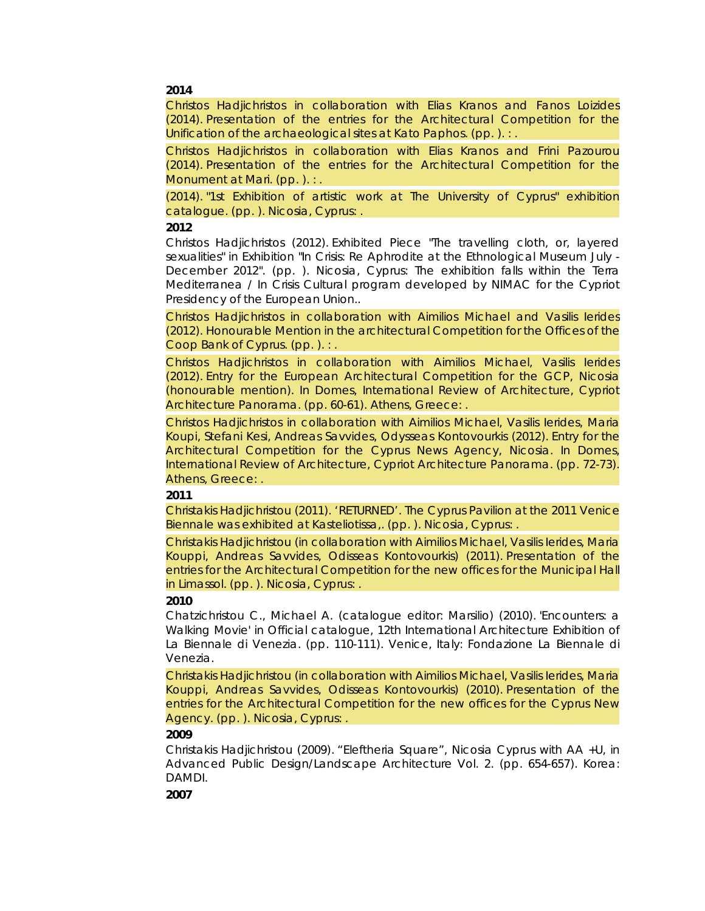#### **2014**

Christos Hadjichristos in collaboration with Elias Kranos and Fanos Loizides (2014). *Presentation of the entries for the Architectural Competition for the Unification of the archaeological sites at Kato Paphos*. (pp. ). : .

Christos Hadjichristos in collaboration with Elias Kranos and Frini Pazourou (2014). *Presentation of the entries for the Architectural Competition for the Monument at Mari*. (pp. ). : .

(2014). *"1st Exhibition of artistic work at The University of Cyprus" exhibition catalogue*. (pp. ). Nicosia, Cyprus: .

#### **2012**

Christos Hadjichristos (2012). *Exhibited Piece "The travelling cloth, or, layered sexualities" in Exhibition "In Crisis: Re Aphrodite at the Ethnological Museum July - December 2012"*. (pp. ). Nicosia, Cyprus: The exhibition falls within the Terra Mediterranea / In Crisis Cultural program developed by NIMAC for the Cypriot Presidency of the European Union..

Christos Hadjichristos in collaboration with Aimilios Michael and Vasilis Ierides (2012). *Honourable Mention in the architectural Competition for the Offices of the Coop Bank of Cyprus*. (pp. ). : .

Christos Hadjichristos in collaboration with Aimilios Michael, Vasilis Ierides (2012). *Entry for the European Architectural Competition for the GCP, Nicosia (honourable mention). In Domes, International Review of Architecture, Cypriot Architecture Panorama*. (pp. 60-61). Athens, Greece: .

Christos Hadjichristos in collaboration with Aimilios Michael, Vasilis Ierides, Maria Koupi, Stefani Kesi, Andreas Savvides, Odysseas Kontovourkis (2012). *Entry for the Architectural Competition for the Cyprus News Agency, Nicosia. In Domes, International Review of Architecture, Cypriot Architecture Panorama*. (pp. 72-73). Athens, Greece: .

#### **2011**

Christakis Hadjichristou (2011). *'RETURNED'. The Cyprus Pavilion at the 2011 Venice Biennale was exhibited at Kasteliotissa,*. (pp. ). Nicosia, Cyprus: .

Christakis Hadjichristou (in collaboration with Aimilios Michael, Vasilis Ierides, Maria Kouppi, Andreas Savvides, Odisseas Kontovourkis) (2011). *Presentation of the*  entries for the Architectural Competition for the new offices for the Municipal Hall *in Limassol*. (pp. ). Nicosia, Cyprus: .

#### **2010**

Chatzichristou C., Michael A. (catalogue editor: Marsilio) (2010). *'Encounters: a*  Walking Movie' in Official catalogue, 12th International Architecture Exhibition of *La Biennale di Venezia*. (pp. 110-111). Venice, Italy: Fondazione La Biennale di Venezia.

Christakis Hadjichristou (in collaboration with Aimilios Michael, Vasilis Ierides, Maria Kouppi, Andreas Savvides, Odisseas Kontovourkis) (2010). *Presentation of the entries for the Architectural Competition for the new offices for the Cyprus New Agency*. (pp. ). Nicosia, Cyprus: .

#### **2009**

Christakis Hadjichristou (2009). *"Eleftheria Square", Nicosia Cyprus with AA +U, in Advanced Public Design/Landscape Architecture Vol. 2*. (pp. 654-657). Korea: DAMDI.

**2007**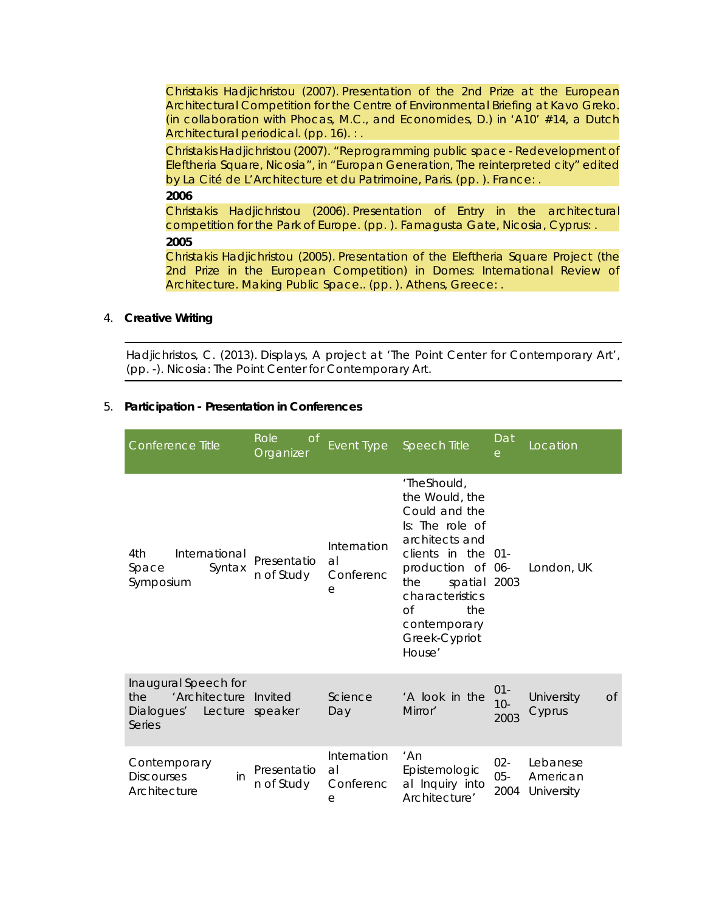Christakis Hadjichristou (2007). *Presentation of the 2nd Prize at the European Architectural Competition for the Centre of Environmental Briefing at Kavo Greko. (in collaboration with Phocas, M.C., and Economides, D.) in 'A10' #14, a Dutch Architectural periodical*. (pp. 16). : .

Christakis Hadjichristou (2007). *"Reprogramming public space - Redevelopment of Eleftheria Square, Nicosia", in "Europan Generation, The reinterpreted city" edited by La Cité de L'Architecture et du Patrimoine, Paris*. (pp. ). France: .

**2006**

Christakis Hadjichristou (2006). *Presentation of Entry in the architectural competition for the Park of Europe*. (pp. ). Famagusta Gate, Nicosia, Cyprus: . **2005**

Christakis Hadjichristou (2005). *Presentation of the Eleftheria Square Project (the*  2nd Prize in the European Competition) in Domes: International Review of *Architecture. Making Public Space.*. (pp. ). Athens, Greece: .

#### 4. **Creative Writing**

Hadjichristos, C. (2013). *Displays, A project at 'The Point Center for Contemporary Art'*, (pp. -). Nicosia: The Point Center for Contemporary Art.

#### 5. **Participation - Presentation in Conferences**

| Conference Title                                                                                    | Role<br><sub>O</sub> f<br>Organizer | Event Type                          | <b>Speech Title</b>                                                                                                                                                                                                                    | Dat<br>$\Theta$          | Location                           |           |
|-----------------------------------------------------------------------------------------------------|-------------------------------------|-------------------------------------|----------------------------------------------------------------------------------------------------------------------------------------------------------------------------------------------------------------------------------------|--------------------------|------------------------------------|-----------|
| International<br>4th<br>Syntax<br>Space<br>Symposium                                                | Presentatio<br>n of Study           | Internation<br>al<br>Conferenc<br>е | 'TheShould,<br>the Would, the<br>Could and the<br>Is: The role of<br>architects and<br>clients in the 01-<br>production of 06-<br>spatial 2003<br>the<br>characteristics<br>$\Omega$<br>the<br>contemporary<br>Greek-Cypriot<br>House' |                          | London, UK                         |           |
| Inaugural Speech for<br>'Architecture Invited<br>the<br>Dialogues' Lecture speaker<br><b>Series</b> |                                     | Science<br>Day                      | 'A look in the<br>Mirror'                                                                                                                                                                                                              | $01 -$<br>$10 -$<br>2003 | University<br>Cyprus               | <b>Of</b> |
| Contemporary<br><b>Discourses</b><br>in<br>Architecture                                             | Presentatio<br>n of Study           | Internation<br>al<br>Conferenc<br>e | 'An<br>Epistemologic<br>al Inquiry into<br>Architecture'                                                                                                                                                                               | $02 -$<br>$05 -$<br>2004 | Lebanese<br>American<br>University |           |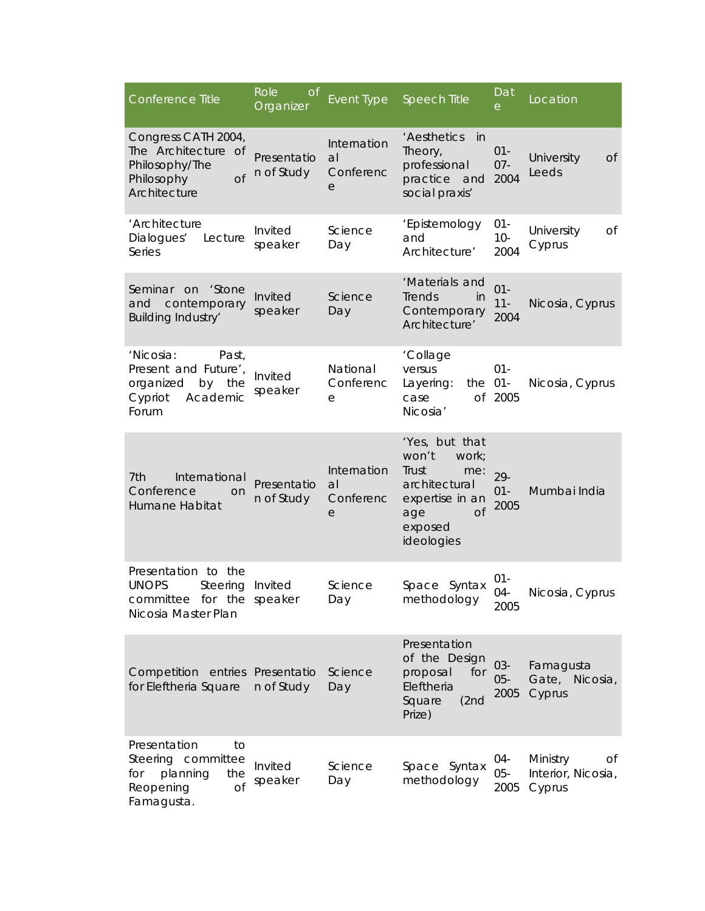| Conference Title                                                                                            | Role<br><b>of</b><br>Organizer    | Event Type                          | <b>Speech Title</b>                                                                                                               | Dat<br>e                 | Location                                       |
|-------------------------------------------------------------------------------------------------------------|-----------------------------------|-------------------------------------|-----------------------------------------------------------------------------------------------------------------------------------|--------------------------|------------------------------------------------|
| Congress CATH 2004,<br>The Architecture of<br>Philosophy/The<br><b>of</b><br>Philosophy<br>Architecture     | Presentatio<br>n of Study         | Internation<br>al<br>Conferenc<br>e | 'Aesthetics<br>in<br>Theory,<br>professional<br>practice<br>and<br>social praxis'                                                 | $01 -$<br>$07 -$<br>2004 | University<br>0f<br>Leeds                      |
| 'Architecture<br>Dialogues'<br>Lecture<br>Series                                                            | Invited<br>speaker                | Science<br>Day                      | 'Epistemology<br>and<br>Architecture'                                                                                             | $01 -$<br>$10-$<br>2004  | University<br>Οf<br>Cyprus                     |
| 'Stone<br>Seminar on<br>contemporary<br>and<br><b>Building Industry'</b>                                    | Invited<br>speaker                | Science<br>Day                      | 'Materials and<br>Trends<br>in<br>Contemporary<br>Architecture'                                                                   | $01 -$<br>$11 -$<br>2004 | Nicosia, Cyprus                                |
| 'Nicosia:<br>Past,<br>Present and Future',<br>organized<br>by the<br>Academic<br>Cypriot<br>Forum           | Invited<br>speaker                | National<br>Conferenc<br>е          | 'Collage<br>versus<br>the 01-<br>Layering:<br>case<br>Nicosia'                                                                    | $01 -$<br>of 2005        | Nicosia, Cyprus                                |
| 7th<br>International<br>Conference<br>on<br>Humane Habitat                                                  | Presentatio<br>n of Study         | Internation<br>al<br>Conferenc<br>е | 'Yes, but that<br>won't<br>work;<br>Trust<br>me:<br>architectural<br>expertise in an<br>age<br><b>of</b><br>exposed<br>ideologies | 29-<br>$01 -$<br>2005    | Mumbai India                                   |
| Presentation to the<br><b>UNOPS</b><br>Steering Invited<br>committee for the speaker<br>Nicosia Master Plan |                                   | Science<br>Day                      | Space Syntax<br>methodology                                                                                                       | 01-<br>04-<br>2005       | Nicosia, Cyprus                                |
| Competition<br>for Eleftheria Square                                                                        | entries Presentatio<br>n of Study | Science<br>Day                      | Presentation<br>of the Design<br>proposal<br>for<br>Eleftheria<br>Square<br>(2nd)<br>Prize)                                       | $03 -$<br>$05 -$<br>2005 | Famagusta<br>Gate, Nicosia,<br>Cyprus          |
| Presentation<br>to<br>Steering committee<br>planning<br>for<br>the<br>Reopening<br><b>of</b><br>Famagusta.  | Invited<br>speaker                | Science<br>Day                      | Space Syntax<br>methodology                                                                                                       | 04-<br>$05 -$<br>2005    | Ministry<br>Οf<br>Interior, Nicosia,<br>Cyprus |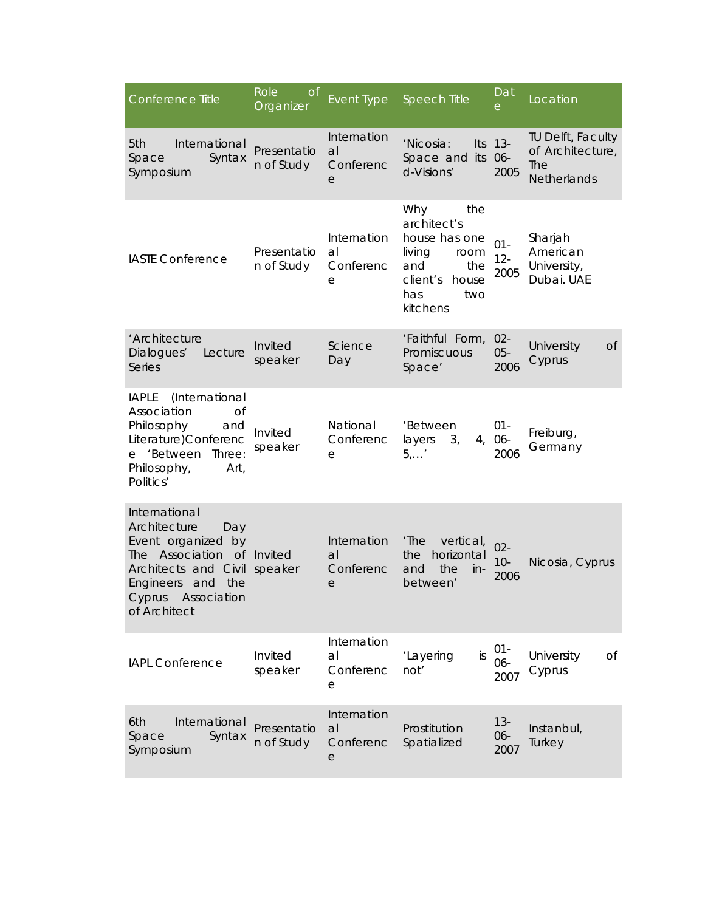| Conference Title                                                                                                                                                                                    | Role<br>Οf<br>Organizer   | Event Type                          | <b>Speech Title</b>                                                                                                       | Dat<br>e                 | Location                                                           |
|-----------------------------------------------------------------------------------------------------------------------------------------------------------------------------------------------------|---------------------------|-------------------------------------|---------------------------------------------------------------------------------------------------------------------------|--------------------------|--------------------------------------------------------------------|
| International<br>5th<br>Syntax<br>Space<br>Symposium                                                                                                                                                | Presentatio<br>n of Study | Internation<br>al<br>Conferenc<br>e | 'Nicosia:<br>Space and its<br>d-Visions'                                                                                  | Its 13-<br>06-<br>2005   | TU Delft, Faculty<br>of Architecture,<br>The<br><b>Netherlands</b> |
| <b>IASTE Conference</b>                                                                                                                                                                             | Presentatio<br>n of Study | Internation<br>al<br>Conferenc<br>е | the<br>Why<br>architect's<br>house has one<br>living<br>room<br>and<br>the<br>client's<br>house<br>has<br>two<br>kitchens | $01 -$<br>$12 -$<br>2005 | Sharjah<br>American<br>University,<br>Dubai. UAE                   |
| 'Architecture<br>Dialogues'<br>Lecture<br><b>Series</b>                                                                                                                                             | Invited<br>speaker        | Science<br>Day                      | 'Faithful Form,<br>Promiscuous<br>Space'                                                                                  | $02 -$<br>$05 -$<br>2006 | University<br><b>Of</b><br>Cyprus                                  |
| (International<br><b>IAPLE</b><br>Association<br><b>of</b><br>Philosophy<br>and<br>Literature)Conferenc<br>e 'Between<br>Three:<br>Philosophy,<br>Art,<br>Politics'                                 | Invited<br>speaker        | National<br>Conferenc<br>е          | 'Between<br>layers<br>3 <sub>r</sub><br>$5, \ldots$                                                                       | $01 -$<br>4, 06-<br>2006 | Freiburg,<br>Germany                                               |
| International<br>Architecture<br>Day<br>Event organized<br>by<br>The Association of Invited<br>Architects and Civil speaker<br><b>Engineers</b><br>and<br>the<br>Cyprus Association<br>of Architect |                           | Internation<br>al<br>Conferenc<br>e | 'The<br>vertical,<br>horizontal<br>the<br>the<br>and<br>$in$ -<br>between'                                                | $02 -$<br>$10-$<br>2006  | Nicosia, Cyprus                                                    |
| <b>IAPL Conference</b>                                                                                                                                                                              | Invited<br>speaker        | Internation<br>al<br>Conferenc<br>е | 'Layering<br>is<br>not'                                                                                                   | $01 -$<br>06-<br>2007    | University<br>Of<br>Cyprus                                         |
| International<br>6th<br>Space<br>Syntax<br>Symposium                                                                                                                                                | Presentatio<br>n of Study | Internation<br>al<br>Conferenc<br>е | Prostitution<br>Spatialized                                                                                               | $13 -$<br>06-<br>2007    | Instanbul,<br>Turkey                                               |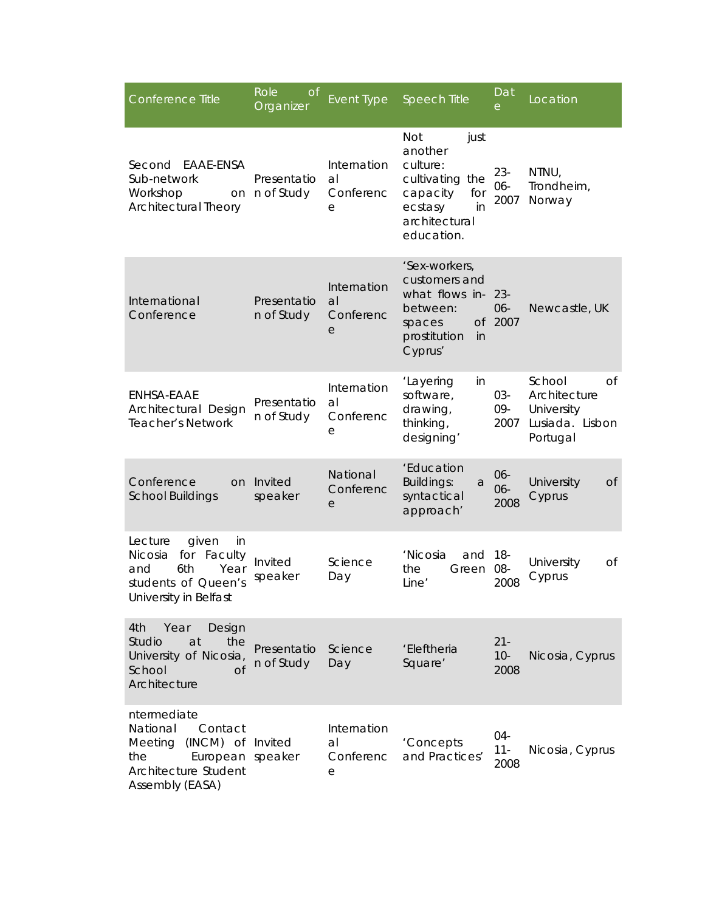| Conference Title                                                                                                                         | Role<br><b>of</b><br>Organizer | <b>Event Type</b>                   | <b>Speech Title</b>                                                                                                             | Dat<br>е                | Location                                                                        |
|------------------------------------------------------------------------------------------------------------------------------------------|--------------------------------|-------------------------------------|---------------------------------------------------------------------------------------------------------------------------------|-------------------------|---------------------------------------------------------------------------------|
| EAAE-ENSA<br>Second<br>Sub-network<br>Workshop<br>on<br>Architectural Theory                                                             | Presentatio<br>n of Study      | Internation<br>al<br>Conferenc<br>e | <b>Not</b><br>just<br>another<br>culture:<br>cultivating the<br>capacity<br>for<br>ecstasy<br>in<br>architectural<br>education. | $23 -$<br>06-<br>2007   | NTNU,<br>Trondheim,<br>Norway                                                   |
| International<br>Conference                                                                                                              | Presentatio<br>n of Study      | Internation<br>al<br>Conferenc<br>е | 'Sex-workers,<br>customers and<br>what flows in-<br>between:<br><b>Of</b><br>spaces<br>prostitution<br>in<br>Cyprus'            | $23 -$<br>06-<br>2007   | Newcastle, UK                                                                   |
| ENHSA-EAAE<br>Architectural Design<br><b>Teacher's Network</b>                                                                           | Presentatio<br>n of Study      | Internation<br>al<br>Conferenc<br>е | 'Layering<br>in<br>software,<br>drawing,<br>thinking,<br>designing'                                                             | 03-<br>09-<br>2007      | School<br>$\Omega$<br>Architecture<br>University<br>Lusiada. Lisbon<br>Portugal |
| Conference<br><b>School Buildings</b>                                                                                                    | on Invited<br>speaker          | National<br>Conferenc<br>е          | 'Education<br><b>Buildings:</b><br>а<br>syntactical<br>approach'                                                                | 06-<br>06-<br>2008      | University<br><b>of</b><br>Cyprus                                               |
| Lecture<br>given<br>in<br>for<br>Faculty<br><b>Nicosia</b><br>6th<br>Year<br>and<br>students of Queen's<br>University in Belfast         | Invited<br>speaker             | Science<br>Day                      | 'Nicosia<br>and<br>the<br>Green<br>Line'                                                                                        | $18 -$<br>08-<br>2008   | University<br>Οf<br>Cyprus                                                      |
| 4th<br>Year<br>Design<br>Studio<br>the<br>at<br>University of Nicosia,<br>School<br>$\overline{C}$<br>Architecture                       | Presentatio<br>n of Study      | Science<br>Day                      | 'Eleftheria<br>Square'                                                                                                          | $21 -$<br>$10-$<br>2008 | Nicosia, Cyprus                                                                 |
| ntermediate<br>National<br>Contact<br>Meeting<br>(INCM) of Invited<br>European speaker<br>the<br>Architecture Student<br>Assembly (EASA) |                                | Internation<br>al<br>Conferenc<br>е | 'Concepts<br>and Practices'                                                                                                     | 04-<br>$11 -$<br>2008   | Nicosia, Cyprus                                                                 |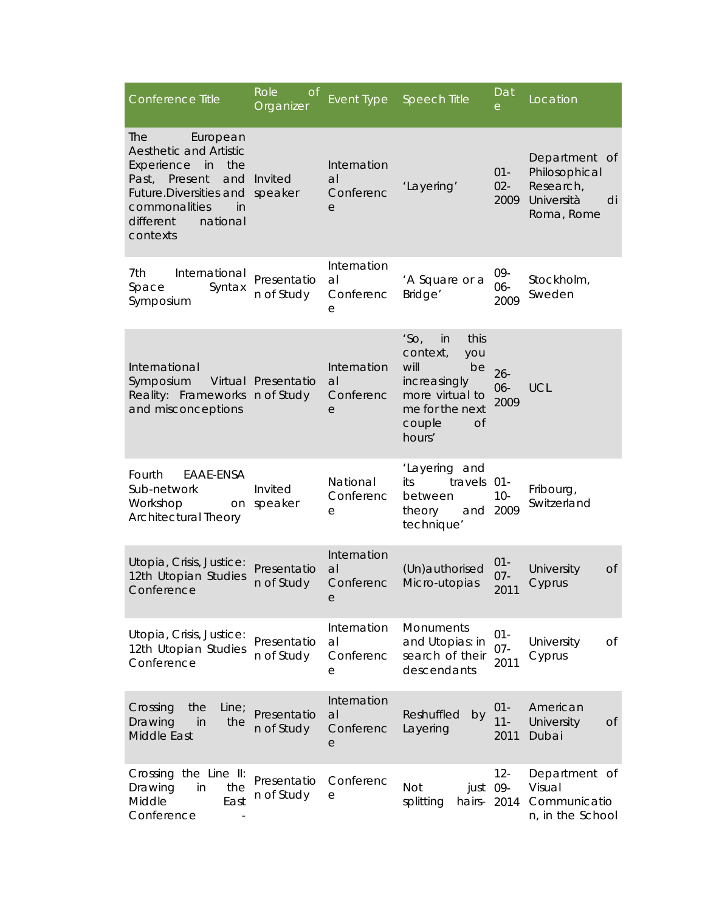| Conference Title                                                                                                                                                                                  | Role<br><b>of</b><br>Organizer    | Event Type                          | Speech Title                                                                                                                                    | Dat<br>e                 | Location                                                                      |
|---------------------------------------------------------------------------------------------------------------------------------------------------------------------------------------------------|-----------------------------------|-------------------------------------|-------------------------------------------------------------------------------------------------------------------------------------------------|--------------------------|-------------------------------------------------------------------------------|
| The<br>European<br><b>Aesthetic and Artistic</b><br>Experience in<br>the<br>Present<br>Past,<br>and<br>Future.Diversities and speaker<br>commonalities<br>in<br>different<br>national<br>contexts | Invited                           | Internation<br>al<br>Conferenc<br>e | 'Layering'                                                                                                                                      | $01 -$<br>$02 -$<br>2009 | Department of<br>Philosophical<br>Research,<br>Università<br>di<br>Roma, Rome |
| 7th<br>International<br>Space<br>Syntax<br>Symposium                                                                                                                                              | Presentatio<br>n of Study         | Internation<br>al<br>Conferenc<br>е | 'A Square or a<br>Bridge'                                                                                                                       | 09-<br>06-<br>2009       | Stockholm,<br>Sweden                                                          |
| International<br>Symposium<br>Reality: Frameworks<br>and misconceptions                                                                                                                           | Virtual Presentatio<br>n of Study | Internation<br>al<br>Conferenc<br>е | 'SO <sub>1</sub><br>this<br>in<br>context,<br>you<br>will<br>be<br>increasingly<br>more virtual to<br>me for the next<br>couple<br>0f<br>hours' | $26 -$<br>$06 -$<br>2009 | <b>UCL</b>                                                                    |
| Fourth<br>EAAE-ENSA<br>Sub-network<br>Workshop<br><b>Architectural Theory</b>                                                                                                                     | Invited<br>on speaker             | National<br>Conferenc<br>е          | 'Layering and<br>its<br>travels<br>between<br>theory<br>technique'                                                                              | -01<br>$10-$<br>and 2009 | Fribourg,<br>Switzerland                                                      |
| Utopia, Crisis, Justice:<br>12th Utopian Studies<br>Conference                                                                                                                                    | Presentatio<br>n of Study         | Internation<br>al<br>Conferenc<br>е | (Un) authorised<br>Micro-utopias                                                                                                                | $01 -$<br>$07 -$<br>2011 | University<br>0f<br>Cyprus                                                    |
| Utopia, Crisis, Justice:<br>12th Utopian Studies<br>Conference                                                                                                                                    | Presentatio<br>n of Study         | Internation<br>al<br>Conferenc<br>е | Monuments<br>and Utopias: in<br>search of their<br>descendants                                                                                  | $01 -$<br>$07 -$<br>2011 | University<br>Of<br>Cyprus                                                    |
| Crossing<br>the<br>Line;<br>Drawing<br>in<br>the<br>Middle East                                                                                                                                   | Presentatio<br>n of Study         | Internation<br>al<br>Conferenc<br>е | Reshuffled<br>by<br>Layering                                                                                                                    | $01 -$<br>$11 -$<br>2011 | American<br>University<br>Οf<br>Dubai                                         |
| Crossing the Line II:<br>Drawing<br>in<br>the<br>Middle<br>East<br>Conference                                                                                                                     | Presentatio<br>n of Study         | Conferenc<br>е                      | just 09-<br>Not<br>splitting<br>hairs-                                                                                                          | $12 -$<br>2014           | Department of<br>Visual<br>Communicatio<br>n, in the School                   |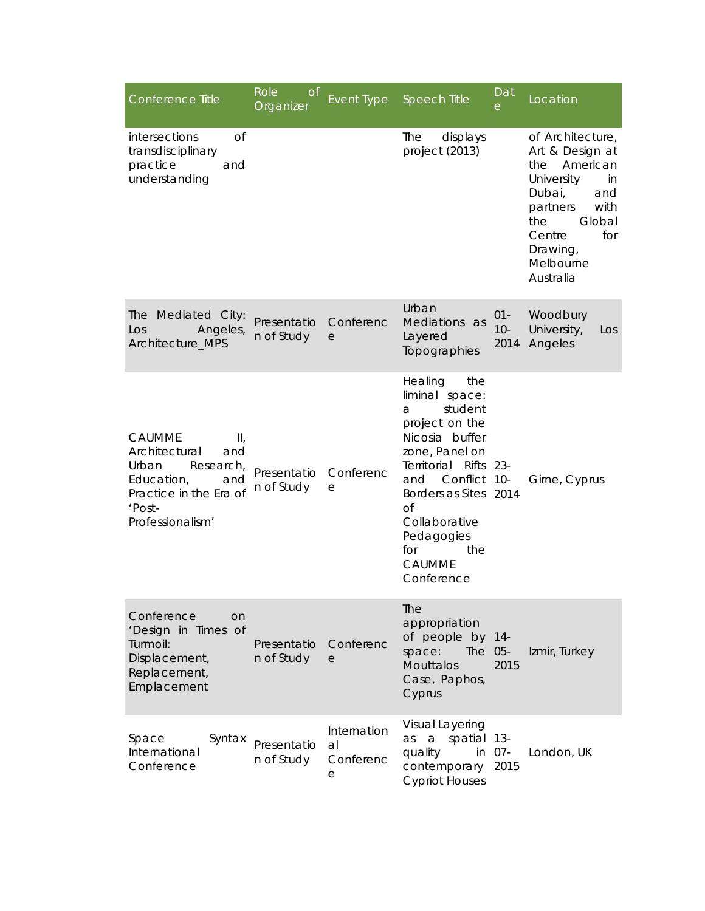| Conference Title                                                                                                                                     | Role<br><b>of</b><br>Organizer | Event Type                          | <b>Speech Title</b>                                                                                                                                                                                                                                               | Dat<br>е                | Location                                                                                                                                                                                |
|------------------------------------------------------------------------------------------------------------------------------------------------------|--------------------------------|-------------------------------------|-------------------------------------------------------------------------------------------------------------------------------------------------------------------------------------------------------------------------------------------------------------------|-------------------------|-----------------------------------------------------------------------------------------------------------------------------------------------------------------------------------------|
| $\overline{C}$<br>intersections<br>transdisciplinary<br>practice<br>and<br>understanding                                                             |                                |                                     | The<br>displays<br>project (2013)                                                                                                                                                                                                                                 |                         | of Architecture,<br>Art & Design at<br>American<br>the<br>University<br>in<br>Dubai,<br>and<br>partners<br>with<br>the<br>Global<br>for<br>Centre<br>Drawing,<br>Melbourne<br>Australia |
| The Mediated City:<br>Los<br>Angeles,<br>Architecture_MPS                                                                                            | Presentatio<br>n of Study      | Conferenc<br>e                      | Urban<br>Mediations as<br>Layered<br>Topographies                                                                                                                                                                                                                 | $01 -$<br>$10-$<br>2014 | Woodbury<br>University,<br>Los<br>Angeles                                                                                                                                               |
| CAUMME<br>$\mathbf{II}_i$<br>Architectural<br>and<br>Urban<br>Research,<br>Education,<br>and<br>Practice in the Era of<br>'Post-<br>Professionalism' | Presentatio<br>n of Study      | Conferenc<br>е                      | Healing<br>the<br>liminal space:<br>student<br>a<br>project on the<br>Nicosia buffer<br>zone, Panel on<br>Territorial Rifts 23-<br>Conflict 10-<br>and<br>Borders as Sites 2014<br>Οf<br>Collaborative<br>Pedagogies<br>for<br>the<br><b>CAUMME</b><br>Conference |                         | Girne, Cyprus                                                                                                                                                                           |
| Conference<br>on.<br>'Design in Times of<br>Turmoil:<br>Displacement,<br>Replacement,<br>Emplacement                                                 | Presentatio<br>n of Study      | Conferenc<br>е                      | The<br>appropriation<br>of people by 14-<br>The 05-<br>space:<br><b>Mouttalos</b><br>Case, Paphos,<br>Cyprus                                                                                                                                                      | 2015                    | Izmir, Turkey                                                                                                                                                                           |
| Space<br>Syntax<br>International<br>Conference                                                                                                       | Presentatio<br>n of Study      | Internation<br>al<br>Conferenc<br>е | Visual Layering<br>spatial 13-<br>a<br>as<br>quality<br>contemporary<br><b>Cypriot Houses</b>                                                                                                                                                                     | in 07-<br>2015          | London, UK                                                                                                                                                                              |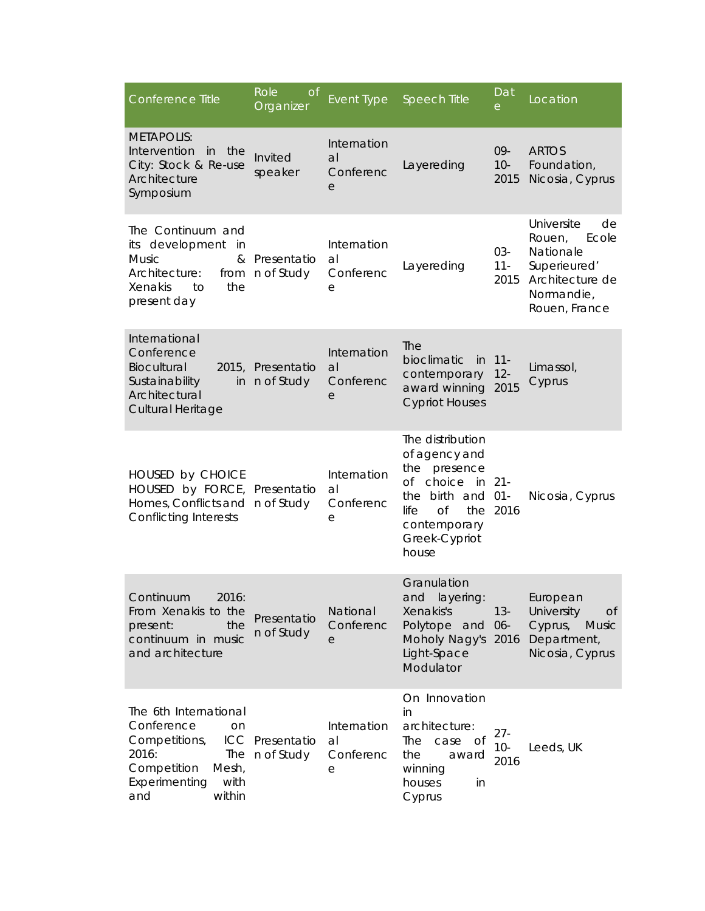| Conference Title                                                                                                                             | Role<br><b>of</b><br>Organizer  | <b>Event Type</b>                   | <b>Speech Title</b>                                                                                                                                      | Dat<br>е                 | Location                                                                                                           |
|----------------------------------------------------------------------------------------------------------------------------------------------|---------------------------------|-------------------------------------|----------------------------------------------------------------------------------------------------------------------------------------------------------|--------------------------|--------------------------------------------------------------------------------------------------------------------|
| <b>METAPOLIS:</b><br>Intervention in the<br>City: Stock & Re-use<br>Architecture<br>Symposium                                                | Invited<br>speaker              | Internation<br>a<br>Conferenc<br>е  | Layereding                                                                                                                                               | 09-<br>$10-$<br>2015     | <b>ARTOS</b><br>Foundation,<br>Nicosia, Cyprus                                                                     |
| The Continuum and<br>its development<br>in<br><b>Music</b><br>&<br>Architecture:<br>the<br>Xenakis<br>to<br>present day                      | Presentatio<br>from n of Study  | Internation<br>al<br>Conferenc<br>е | Layereding                                                                                                                                               | 03-<br>$11 -$<br>2015    | Universite<br>de<br>Rouen,<br>Ecole<br>Nationale<br>Superieured'<br>Architecture de<br>Normandie,<br>Rouen, France |
| International<br>Conference<br>Biocultural<br>Sustainability<br>in<br>Architectural<br>Cultural Heritage                                     | 2015, Presentatio<br>n of Study | Internation<br>a<br>Conferenc<br>е  | <b>The</b><br>bioclimatic<br>- in<br>contemporary<br>award winning<br><b>Cypriot Houses</b>                                                              | $11 -$<br>$12 -$<br>2015 | Limassol,<br>Cyprus                                                                                                |
| HOUSED by CHOICE<br>HOUSED by FORCE, Presentatio<br>Homes, Conflicts and n of Study<br><b>Conflicting Interests</b>                          |                                 | Internation<br>al<br>Conferenc<br>е | The distribution<br>of agency and<br>the presence<br>of choice in 21-<br>the birth and 01-<br>$\Omega$<br>life<br>contemporary<br>Greek-Cypriot<br>house | the 2016                 | Nicosia, Cyprus                                                                                                    |
| 2016:<br>Continuum<br>From Xenakis to the<br>present:<br>the<br>continuum in music<br>and architecture                                       | Presentatio<br>n of Study       | National<br>Conferenc<br>е          | Granulation<br>and layering:<br>Xenakis's<br>Polytope and 06-<br>Moholy Nagy's 2016<br>Light-Space<br>Modulator                                          | $13 -$                   | European<br>University<br><sub>O</sub> f<br>Cyprus,<br><b>Music</b><br>Department,<br>Nicosia, Cyprus              |
| The 6th International<br>Conference<br>on<br>Competitions,<br>2016:<br>The<br>Competition<br>Mesh,<br>Experimenting<br>with<br>within<br>and | ICC Presentatio<br>n of Study   | Internation<br>al<br>Conferenc<br>е | On Innovation<br>in<br>architecture:<br>The<br>case<br>of<br>the<br>award<br>winning<br>houses<br>in<br>Cyprus                                           | $27 -$<br>$10-$<br>2016  | Leeds, UK                                                                                                          |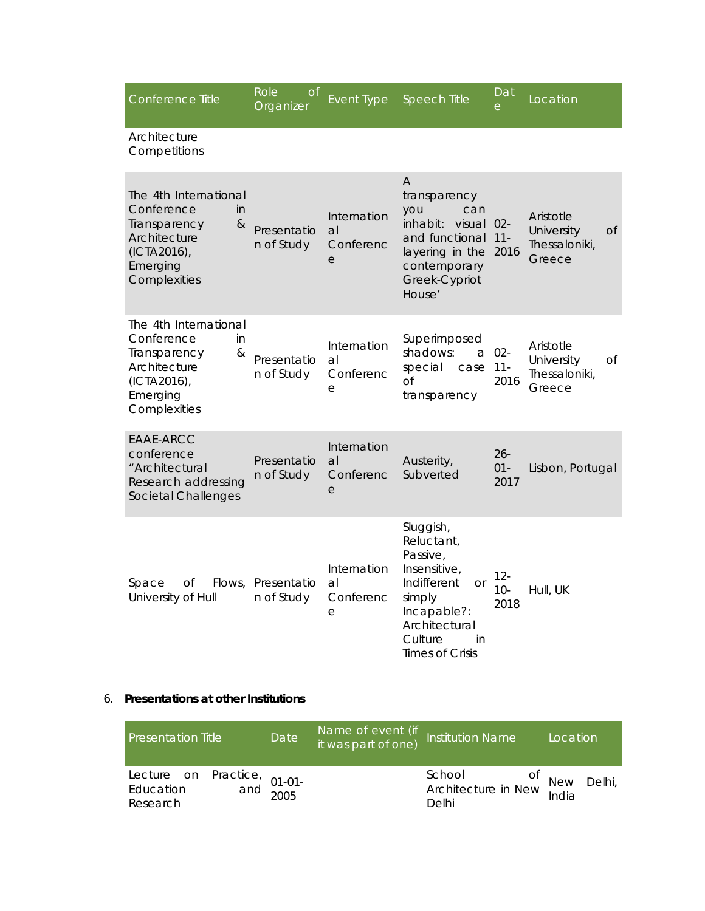| Conference Title                                                                                                          | Role<br><b>o</b> f<br>Organizer | Event Type                                       | <b>Speech Title</b>                                                                                                                                                  | $\overline{\mathrm{D}}$ at<br>e | Location                                                 |
|---------------------------------------------------------------------------------------------------------------------------|---------------------------------|--------------------------------------------------|----------------------------------------------------------------------------------------------------------------------------------------------------------------------|---------------------------------|----------------------------------------------------------|
| Architecture<br>Competitions                                                                                              |                                 |                                                  |                                                                                                                                                                      |                                 |                                                          |
| The 4th International<br>Conference<br>in<br>&<br>Transparency<br>Architecture<br>(ICTA2016),<br>Emerging<br>Complexities | Presentatio<br>n of Study       | Internation<br>al<br>Conferenc<br>$\overline{e}$ | A<br>transparency<br>you<br>can<br>inhabit:<br>visual<br>and functional<br>layering in the<br>contemporary<br>Greek-Cypriot<br>House'                                | $02 -$<br>$11 -$<br>2016        | Aristotle<br>University<br>Οf<br>Thessaloniki,<br>Greece |
| The 4th International<br>Conference<br>in<br>&<br>Transparency<br>Architecture<br>(ICTA2016),<br>Emerging<br>Complexities | Presentatio<br>n of Study       | Internation<br>al<br>Conferenc<br>е              | Superimposed<br>shadows:<br>a<br>special<br>case<br><b>of</b><br>transparency                                                                                        | $02 -$<br>$11 -$<br>2016        | Aristotle<br>University<br>Οf<br>Thessaloniki,<br>Greece |
| EAAE-ARCC<br>conference<br>"Architectural<br>Research addressing<br>Societal Challenges                                   | Presentatio<br>n of Study       | Internation<br>a<br>Conferenc<br>е               | Austerity,<br>Subverted                                                                                                                                              | $26 -$<br>$01 -$<br>2017        | Lisbon, Portugal                                         |
| Space<br>Οf<br>Flows,<br>University of Hull                                                                               | Presentatio<br>n of Study       | Internation<br>al<br>Conferenc<br>е              | Sluggish,<br>Reluctant,<br>Passive,<br>Insensitive.<br>Indifferent<br><b>Or</b><br>simply<br>Incapable?:<br>Architectural<br>Culture<br>in<br><b>Times of Crisis</b> | $12 -$<br>$10 -$<br>2018        | Hull, UK                                                 |

# 6. **Presentations at other Institutions**

| <b>Presentation Title</b>                                     | Date | Name of event (if Institution Name<br>it was part of one) listitution Name |                                                           | Location |
|---------------------------------------------------------------|------|----------------------------------------------------------------------------|-----------------------------------------------------------|----------|
| Lecture on Practice, 01-01-<br>Education and 2005<br>Research |      |                                                                            | School of New Delhi<br>Architecture in New India<br>Delhi |          |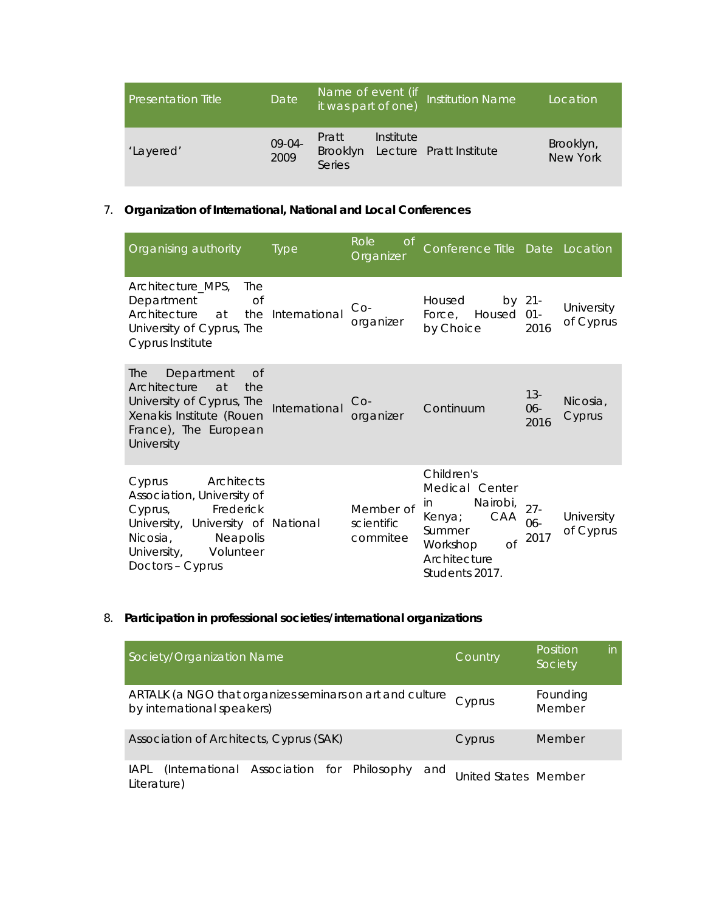| <b>Presentation Title</b> | Date <sup>1</sup> | Name of event (if<br>it was part of one)  |           | <b>Institution Name</b> | Location                     |
|---------------------------|-------------------|-------------------------------------------|-----------|-------------------------|------------------------------|
| 'Layered'                 | 09-04-<br>2009    | Pratt<br><b>Brooklyn</b><br><b>Series</b> | Institute | Lecture Pratt Institute | Brooklyn,<br><b>New York</b> |

# 7. **Organization of International, National and Local Conferences**

| Organising authority                                                                                                                                                                     | <b>Type</b>   | Role<br>of<br>Organizer             | Conference Title Date Location                                                                                                       |                       |                         |
|------------------------------------------------------------------------------------------------------------------------------------------------------------------------------------------|---------------|-------------------------------------|--------------------------------------------------------------------------------------------------------------------------------------|-----------------------|-------------------------|
| Architecture_MPS,<br>The<br>Department<br>Οf<br>Architecture<br>the<br>at<br>University of Cyprus, The<br>Cyprus Institute                                                               | International | $Co-$<br>organizer                  | Housed<br>Force, Housed 01-<br>by Choice                                                                                             | by 21-<br>2016        | University<br>of Cyprus |
| Department<br>Of<br>The<br>Architecture<br>at<br>the<br>University of Cyprus, The<br>Xenakis Institute (Rouen<br>France), The European<br>University                                     | International | $Co-$<br>organizer                  | Continuum                                                                                                                            | $13 -$<br>06-<br>2016 | Nicosia,<br>Cyprus      |
| Architects<br>Cyprus<br>Association, University of<br>Frederick<br>Cyprus,<br>University, University of National<br>Neapolis<br>Nicosia,<br>University,<br>Volunteer<br>Doctors - Cyprus |               | Member of<br>scientific<br>commitee | Children's<br>Medical Center<br>Nairobi,<br>in<br>CAA<br>Kenya;<br>Summer<br><b>of</b><br>Workshop<br>Architecture<br>Students 2017. | $27 -$<br>06-<br>2017 | University<br>of Cyprus |

# 8. **Participation in professional societies/international organizations**

| Society/Organization Name                                                              | <b>Country</b>       | Position<br>Society | in |
|----------------------------------------------------------------------------------------|----------------------|---------------------|----|
| ARTALK (a NGO that organizes seminars on art and culture<br>by international speakers) | Cyprus               | Founding<br>Member  |    |
| Association of Architects, Cyprus (SAK)                                                | Cyprus               | Member              |    |
| (International Association for Philosophy and<br>IAPL<br>Literature)                   | United States Member |                     |    |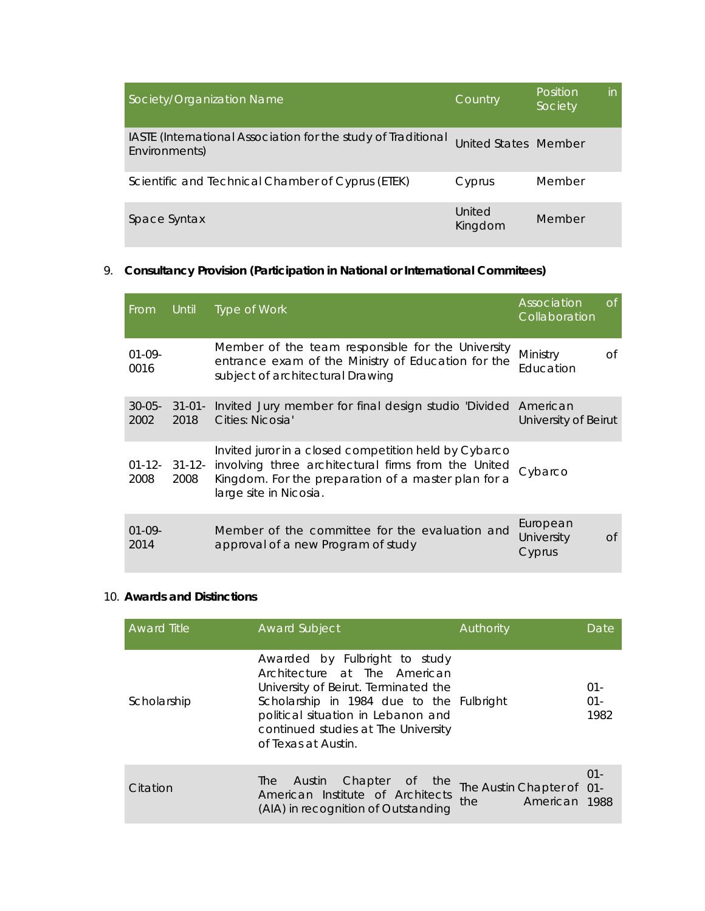| Society/Organization Name                                                      | Country              | Position<br>Society | in. |
|--------------------------------------------------------------------------------|----------------------|---------------------|-----|
| IASTE (International Association for the study of Traditional<br>Environments) | United States Member |                     |     |
| Scientific and Technical Chamber of Cyprus (ETEK)                              | Cyprus               | Member              |     |
| Space Syntax                                                                   | United<br>Kingdom    | Member              |     |

# 9. **Consultancy Provision (Participation in National or International Commitees)**

| <b>From</b>         | Until               | Type of Work                                                                                                                                                                                                | Association<br>Collaboration     | of |
|---------------------|---------------------|-------------------------------------------------------------------------------------------------------------------------------------------------------------------------------------------------------------|----------------------------------|----|
| $01-09-$<br>0016    |                     | Member of the team responsible for the University<br>entrance exam of the Ministry of Education for the<br>subject of architectural Drawing                                                                 | Ministry<br>Education            | 0f |
| $30 - 05 -$<br>2002 | $31 - 01 -$<br>2018 | Invited Jury member for final design studio 'Divided American<br>Cities: Nicosia'                                                                                                                           | University of Beirut             |    |
| 2008                | 2008                | Invited juror in a closed competition held by Cybarco<br>01-12- 31-12- involving three architectural firms from the United<br>Kingdom. For the preparation of a master plan for a<br>large site in Nicosia. | Cybarco                          |    |
| $01-09-$<br>2014    |                     | Member of the committee for the evaluation and<br>approval of a new Program of study                                                                                                                        | European<br>University<br>Cyprus | Of |

# 10. **Awards and Distinctions**

| <b>Award Title</b> | <b>Award Subject</b>                                                                                                                                                                                                                                  | Authority                                         | Date                     |
|--------------------|-------------------------------------------------------------------------------------------------------------------------------------------------------------------------------------------------------------------------------------------------------|---------------------------------------------------|--------------------------|
| Scholarship        | Awarded by Fulbright to study<br>Architecture at The American<br>University of Beirut. Terminated the<br>Scholarship in 1984 due to the Fulbright<br>political situation in Lebanon and<br>continued studies at The University<br>of Texas at Austin. |                                                   | $01 -$<br>$01 -$<br>1982 |
| Citation           | Chapter of the<br><b>Austin</b><br>The<br>American Institute of Architects<br>(AIA) in recognition of Outstanding                                                                                                                                     | The Austin Chapter of 01-<br>the<br>American 1988 | $01 -$                   |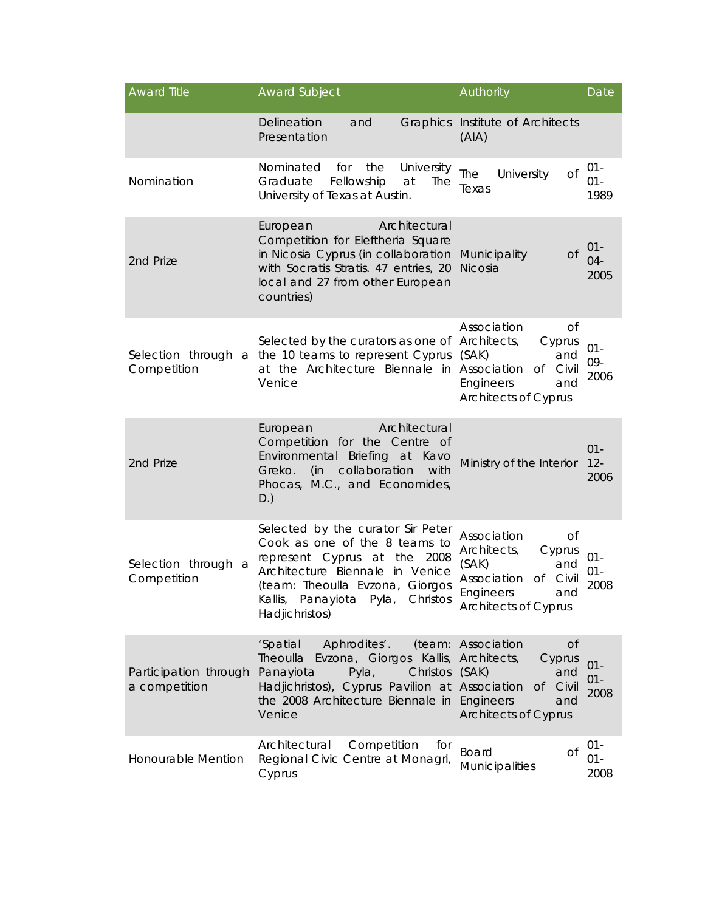| <b>Award Title</b>                     | <b>Award Subject</b>                                                                                                                                                                                                              | Authority                                                                                                                                                 | Date                     |
|----------------------------------------|-----------------------------------------------------------------------------------------------------------------------------------------------------------------------------------------------------------------------------------|-----------------------------------------------------------------------------------------------------------------------------------------------------------|--------------------------|
|                                        | Delineation<br>and<br>Presentation                                                                                                                                                                                                | Graphics Institute of Architects<br>(A A)                                                                                                                 |                          |
| Nomination                             | Nominated<br>University<br>for<br>the<br>Graduate<br>Fellowship<br>at<br>The<br>University of Texas at Austin.                                                                                                                    | The<br>University<br><b>of</b><br>Texas                                                                                                                   | $01 -$<br>$01 -$<br>1989 |
| 2nd Prize                              | Architectural<br>European<br>Competition for Eleftheria Square<br>in Nicosia Cyprus (in collaboration<br>with Socratis Stratis. 47 entries, 20<br>local and 27 from other European<br>countries)                                  | <b>of</b><br>Municipality<br>Nicosia                                                                                                                      | $01 -$<br>$04 -$<br>2005 |
| Competition                            | Selected by the curators as one of Architects,<br>Selection through a the 10 teams to represent Cyprus<br>at the Architecture Biennale in Association<br>Venice                                                                   | Association<br><b>of</b><br>Cyprus<br>(SAK)<br>and<br>of<br>Civil<br>Engineers<br>and<br><b>Architects of Cyprus</b>                                      | $01 -$<br>09-<br>2006    |
| 2nd Prize                              | Architectural<br>European<br>Competition for the Centre of<br>Environmental<br>Briefing at<br>Kavo<br>collaboration<br>with<br>Greko.<br>(in<br>Phocas, M.C., and Economides,<br>D.)                                              | Ministry of the Interior                                                                                                                                  | $01 -$<br>$12 -$<br>2006 |
| Selection through a<br>Competition     | Selected by the curator Sir Peter<br>Cook as one of the 8 teams to<br>represent Cyprus at the 2008<br>Architecture Biennale in Venice<br>(team: Theoulla Evzona, Giorgos<br>Kallis, Panayiota Pyla,<br>Christos<br>Hadjichristos) | Association<br><b>of</b><br>Architects,<br>Cyprus<br>(SAK)<br>and<br>Association<br><b>of</b><br>Civil<br>Engineers<br>and<br><b>Architects of Cyprus</b> | $01 -$<br>$01 -$<br>2008 |
| Participation through<br>a competition | 'Spatial<br>Aphrodites'.<br>Theoulla<br>Evzona, Giorgos Kallis, Architects,<br>Christos<br>Panayiota<br>Pyla,<br>Hadjichristos), Cyprus Pavilion at Association<br>the 2008 Architecture Biennale in Engineers<br>Venice          | (team: Association<br><b>of</b><br>Cyprus<br>(SAK)<br>and<br><b>of</b><br>Civil<br>and<br><b>Architects of Cyprus</b>                                     | $01 -$<br>$01 -$<br>2008 |
| Honourable Mention                     | Architectural<br>Competition<br>for<br>Regional Civic Centre at Monagri,<br>Cyprus                                                                                                                                                | Board<br>Of<br>Municipalities                                                                                                                             | $01 -$<br>$01 -$<br>2008 |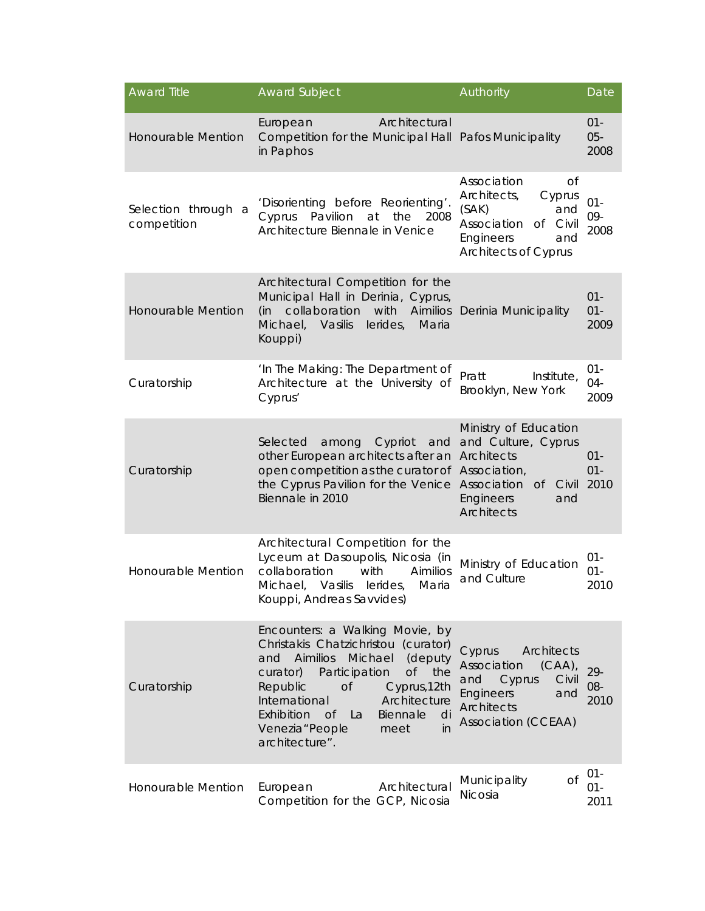| <b>Award Title</b>                 | <b>Award Subject</b>                                                                                                                                                                                                                                                                                                                                 | Authority                                                                                                                                                | Date                     |
|------------------------------------|------------------------------------------------------------------------------------------------------------------------------------------------------------------------------------------------------------------------------------------------------------------------------------------------------------------------------------------------------|----------------------------------------------------------------------------------------------------------------------------------------------------------|--------------------------|
| <b>Honourable Mention</b>          | Architectural<br>European<br>Competition for the Municipal Hall Pafos Municipality<br>in Paphos                                                                                                                                                                                                                                                      |                                                                                                                                                          | $01 -$<br>$05 -$<br>2008 |
| Selection through a<br>competition | 'Disorienting before Reorienting'.<br>Pavilion<br>Cyprus<br>at<br>the<br>2008<br>Architecture Biennale in Venice                                                                                                                                                                                                                                     | Association<br>Οf<br>Architects,<br>Cyprus<br>(SAK)<br>and<br>Association<br>of Civil<br>Engineers<br>and<br><b>Architects of Cyprus</b>                 | $01 -$<br>09-<br>2008    |
| <b>Honourable Mention</b>          | Architectural Competition for the<br>Municipal Hall in Derinia, Cyprus,<br>collaboration<br>with<br>Aimilios<br>(in<br>Michael,<br>Vasilis<br>lerides,<br>Maria<br>Kouppi)                                                                                                                                                                           | Derinia Municipality                                                                                                                                     | $01 -$<br>$01 -$<br>2009 |
| Curatorship                        | 'In The Making: The Department of<br>Architecture at the University of<br>Cyprus'                                                                                                                                                                                                                                                                    | Institute,<br>Pratt<br>Brooklyn, New York                                                                                                                | $01 -$<br>$04 -$<br>2009 |
| Curatorship                        | Selected<br>among<br>Cypriot<br>and<br>other European architects after an<br>open competition as the curator of Association,<br>the Cyprus Pavilion for the Venice Association<br>Biennale in 2010                                                                                                                                                   | Ministry of Education<br>and Culture, Cyprus<br>Architects<br>of Civil<br><b>Engineers</b><br>and<br><b>Architects</b>                                   | $01 -$<br>$01 -$<br>2010 |
| Honourable Mention                 | Architectural Competition for the<br>Lyceum at Dasoupolis, Nicosia (in<br>collaboration<br>with<br>Aimilios<br>Michael, Vasilis<br>lerides,<br>Maria<br>Kouppi, Andreas Savvides)                                                                                                                                                                    | Ministry of Education<br>and Culture                                                                                                                     | $01 -$<br>$01 -$<br>2010 |
| Curatorship                        | Encounters: a Walking Movie, by<br>Christakis Chatzichristou (curator)<br>Aimilios<br>Michael<br>(deputy<br>and<br>Participation<br><b>of</b><br>curator)<br>the<br>Republic<br><b>of</b><br>Cyprus, 12th<br>International<br>Architecture<br>Exhibition<br>Biennale<br><sub>Of</sub><br>La<br>di<br>Venezia "People<br>in<br>meet<br>architecture". | <b>Architects</b><br>Cyprus<br>Association<br>$(CAA)$ ,<br>and<br>Cyprus<br>Civil<br><b>Engineers</b><br>and<br>Architects<br><b>Association (CCEAA)</b> | 29-<br>08-<br>2010       |
| Honourable Mention                 | Architectural<br>European<br>Competition for the GCP, Nicosia                                                                                                                                                                                                                                                                                        | <b>of</b><br>Municipality<br><b>Nicosia</b>                                                                                                              | $01 -$<br>$01 -$<br>2011 |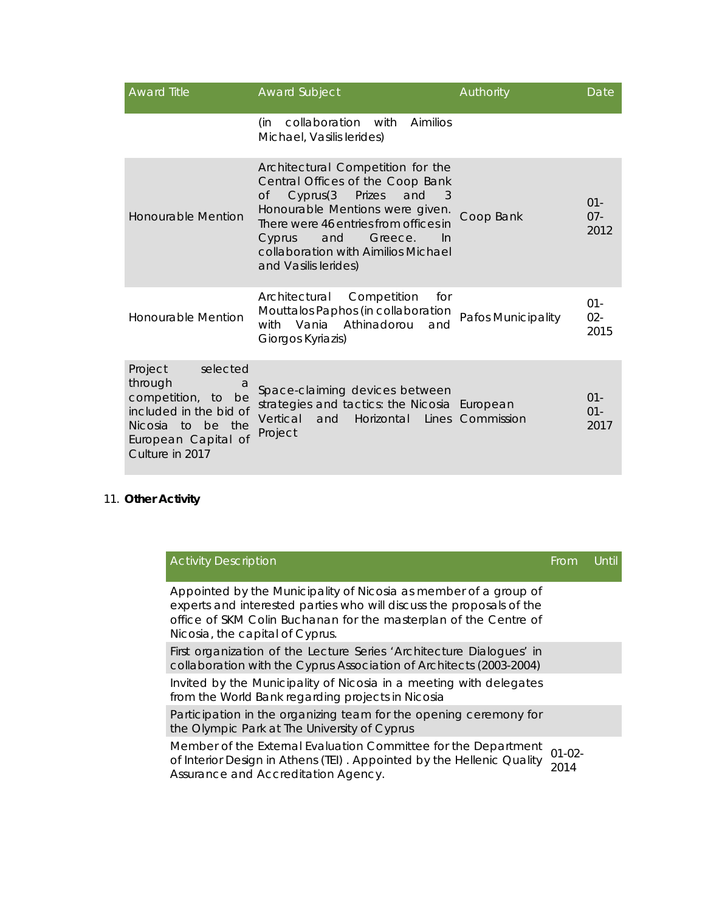| <b>Award Title</b>                                                                                                                                 | <b>Award Subject</b>                                                                                                                                                                                                                                                                                  | Authority               | Date                     |
|----------------------------------------------------------------------------------------------------------------------------------------------------|-------------------------------------------------------------------------------------------------------------------------------------------------------------------------------------------------------------------------------------------------------------------------------------------------------|-------------------------|--------------------------|
|                                                                                                                                                    | collaboration with<br>Aimilios<br>(in<br>Michael, Vasilis lerides)                                                                                                                                                                                                                                    |                         |                          |
| <b>Honourable Mention</b>                                                                                                                          | Architectural Competition for the<br>Central Offices of the Coop Bank<br>Cyprus(3)<br>Prizes<br>and<br>$\circ$ f<br>- 3<br>Honourable Mentions were given.<br>There were 46 entries from offices in<br>and<br>Greece.<br>Cyprus<br>-In<br>collaboration with Aimilios Michael<br>and Vasilis lerides) | Coop Bank               | $01 -$<br>$07 -$<br>2012 |
| Honourable Mention                                                                                                                                 | Architectural<br>Competition<br>for<br>Mouttalos Paphos (in collaboration<br>Athinadorou<br>Vania<br>with<br>and<br>Giorgos Kyriazis)                                                                                                                                                                 | Pafos Municipality      | $01 -$<br>$02 -$<br>2015 |
| selected<br>Project<br>through<br>a<br>competition, to be<br>included in the bid of<br>Nicosia to be the<br>European Capital of<br>Culture in 2017 | Space-claiming devices between<br>strategies and tactics: the Nicosia European<br>Vertical<br>Horizontal<br>and<br>Project                                                                                                                                                                            | <b>Lines Commission</b> | $01 -$<br>$01 -$<br>2017 |

# 11. **Other Activity**

|  | <b>Activity Description</b>                                                                                                                                                                                                                     | From                | Until |
|--|-------------------------------------------------------------------------------------------------------------------------------------------------------------------------------------------------------------------------------------------------|---------------------|-------|
|  | Appointed by the Municipality of Nicosia as member of a group of<br>experts and interested parties who will discuss the proposals of the<br>office of SKM Colin Buchanan for the masterplan of the Centre of<br>Nicosia, the capital of Cyprus. |                     |       |
|  | First organization of the Lecture Series 'Architecture Dialogues' in<br>collaboration with the Cyprus Association of Architects (2003-2004)                                                                                                     |                     |       |
|  | Invited by the Municipality of Nicosia in a meeting with delegates<br>from the World Bank regarding projects in Nicosia                                                                                                                         |                     |       |
|  | Participation in the organizing team for the opening ceremony for<br>the Olympic Park at The University of Cyprus                                                                                                                               |                     |       |
|  | Member of the External Evaluation Committee for the Department<br>of Interior Design in Athens (TEI). Appointed by the Hellenic Quality<br>Assurance and Accreditation Agency.                                                                  | $01 - 02 -$<br>2014 |       |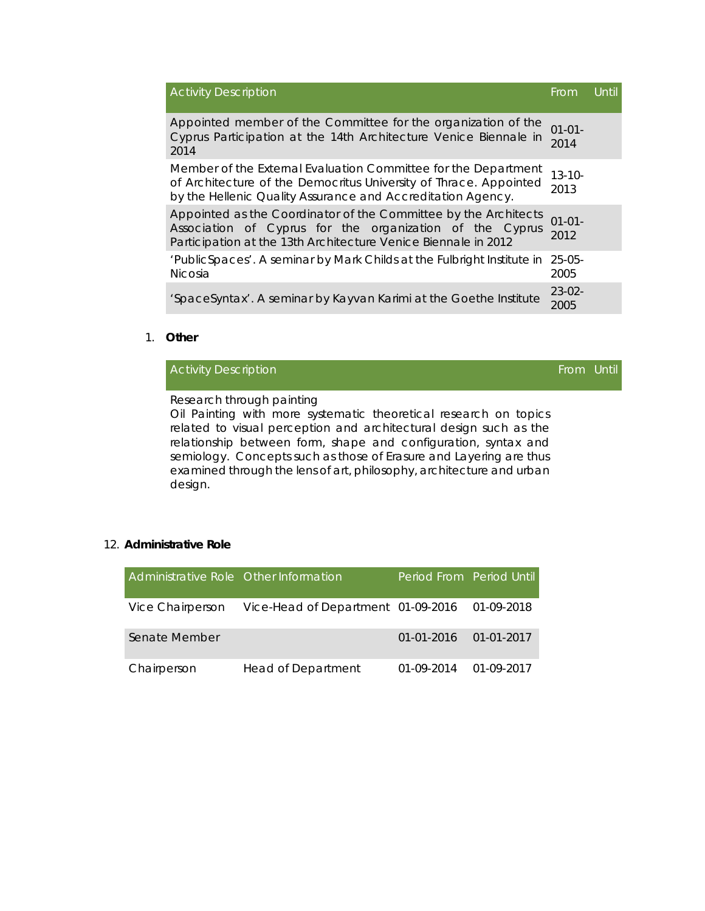| <b>Activity Description</b>                                                                                                                                                                        | Erom                | Until |
|----------------------------------------------------------------------------------------------------------------------------------------------------------------------------------------------------|---------------------|-------|
| Appointed member of the Committee for the organization of the<br>Cyprus Participation at the 14th Architecture Venice Biennale in<br>2014                                                          | $01 - 01 -$<br>2014 |       |
| Member of the External Evaluation Committee for the Department<br>of Architecture of the Democritus University of Thrace. Appointed<br>by the Hellenic Quality Assurance and Accreditation Agency. | $13 - 10 -$<br>2013 |       |
| Appointed as the Coordinator of the Committee by the Architects<br>Association of Cyprus for the organization of the Cyprus<br>Participation at the 13th Architecture Venice Biennale in 2012      | $01 - 01 -$<br>2012 |       |
| 'PublicSpaces'. A seminar by Mark Childs at the Fulbright Institute in<br><b>Nicosia</b>                                                                                                           | $25-05-$<br>2005    |       |
| 'SpaceSyntax'. A seminar by Kayvan Karimi at the Goethe Institute                                                                                                                                  | $23-02-$<br>2005    |       |

## 1. **Other**

From Until

Research through painting

Oil Painting with more systematic theoretical research on topics related to visual perception and architectural design such as the relationship between form, shape and configuration, syntax and semiology. Concepts such as those of Erasure and Layering are thus examined through the lens of art, philosophy, architecture and urban design.

## 12. **Administrative Role**

| Administrative Role Other Information |                                               | Period From Period Until  |            |
|---------------------------------------|-----------------------------------------------|---------------------------|------------|
| Vice Chairperson                      | Vice-Head of Department 01-09-2016 01-09-2018 |                           |            |
| Senate Member                         |                                               | $01-01-2016$ $01-01-2017$ |            |
| Chairperson                           | <b>Head of Department</b>                     | 01-09-2014                | 01-09-2017 |